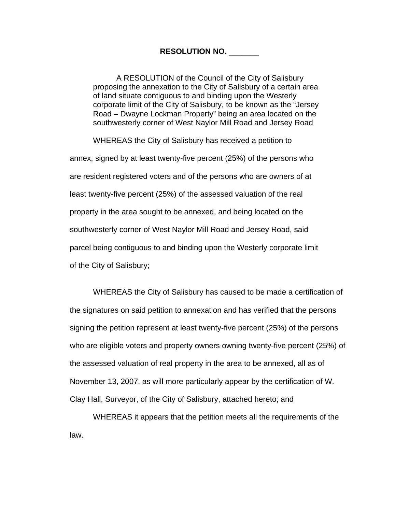## **RESOLUTION NO.** \_\_\_\_\_\_\_

A RESOLUTION of the Council of the City of Salisbury proposing the annexation to the City of Salisbury of a certain area of land situate contiguous to and binding upon the Westerly corporate limit of the City of Salisbury, to be known as the "Jersey Road – Dwayne Lockman Property" being an area located on the southwesterly corner of West Naylor Mill Road and Jersey Road

WHEREAS the City of Salisbury has received a petition to

annex, signed by at least twenty-five percent (25%) of the persons who are resident registered voters and of the persons who are owners of at least twenty-five percent (25%) of the assessed valuation of the real property in the area sought to be annexed, and being located on the southwesterly corner of West Naylor Mill Road and Jersey Road, said parcel being contiguous to and binding upon the Westerly corporate limit of the City of Salisbury;

WHEREAS the City of Salisbury has caused to be made a certification of the signatures on said petition to annexation and has verified that the persons signing the petition represent at least twenty-five percent (25%) of the persons who are eligible voters and property owners owning twenty-five percent (25%) of the assessed valuation of real property in the area to be annexed, all as of November 13, 2007, as will more particularly appear by the certification of W. Clay Hall, Surveyor, of the City of Salisbury, attached hereto; and

WHEREAS it appears that the petition meets all the requirements of the law.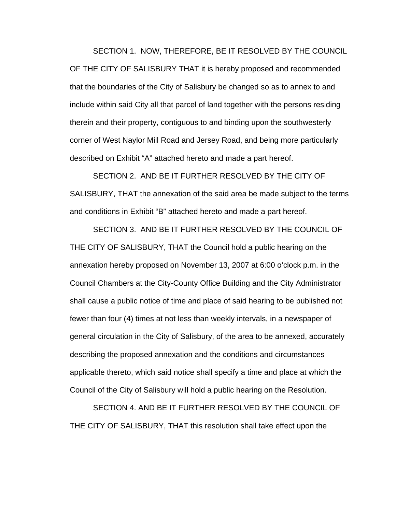SECTION 1. NOW, THEREFORE, BE IT RESOLVED BY THE COUNCIL OF THE CITY OF SALISBURY THAT it is hereby proposed and recommended that the boundaries of the City of Salisbury be changed so as to annex to and include within said City all that parcel of land together with the persons residing therein and their property, contiguous to and binding upon the southwesterly corner of West Naylor Mill Road and Jersey Road, and being more particularly described on Exhibit "A" attached hereto and made a part hereof.

SECTION 2. AND BE IT FURTHER RESOLVED BY THE CITY OF SALISBURY, THAT the annexation of the said area be made subject to the terms and conditions in Exhibit "B" attached hereto and made a part hereof.

SECTION 3. AND BE IT FURTHER RESOLVED BY THE COUNCIL OF THE CITY OF SALISBURY, THAT the Council hold a public hearing on the annexation hereby proposed on November 13, 2007 at 6:00 o'clock p.m. in the Council Chambers at the City-County Office Building and the City Administrator shall cause a public notice of time and place of said hearing to be published not fewer than four (4) times at not less than weekly intervals, in a newspaper of general circulation in the City of Salisbury, of the area to be annexed, accurately describing the proposed annexation and the conditions and circumstances applicable thereto, which said notice shall specify a time and place at which the Council of the City of Salisbury will hold a public hearing on the Resolution.

SECTION 4. AND BE IT FURTHER RESOLVED BY THE COUNCIL OF THE CITY OF SALISBURY, THAT this resolution shall take effect upon the